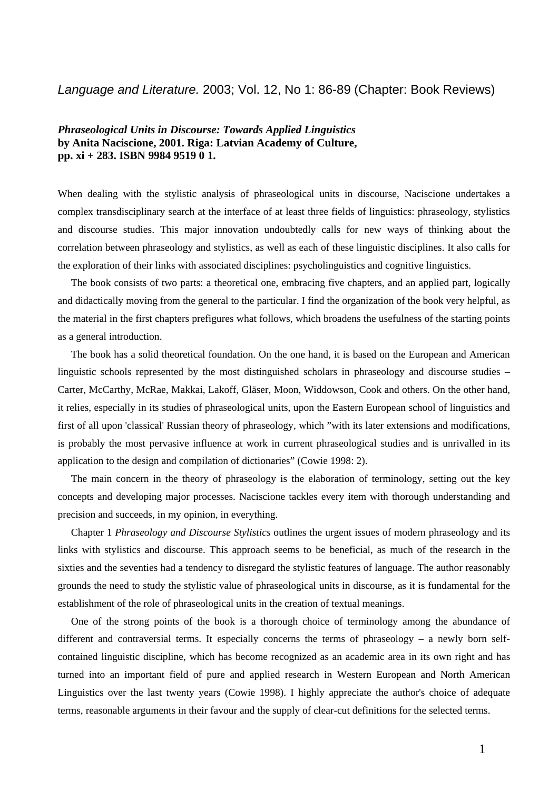## *Language and Literature.* 2003; Vol. 12, No 1: 86-89 (Chapter: Book Reviews)

## *Phraseological Units in Discourse: Towards Applied Linguistics* **by Anita Naciscione, 2001. Riga: Latvian Academy of Culture, pp. xi + 283. ISBN 9984 9519 0 1.**

When dealing with the stylistic analysis of phraseological units in discourse, Naciscione undertakes a complex transdisciplinary search at the interface of at least three fields of linguistics: phraseology, stylistics and discourse studies. This major innovation undoubtedly calls for new ways of thinking about the correlation between phraseology and stylistics, as well as each of these linguistic disciplines. It also calls for the exploration of their links with associated disciplines: psycholinguistics and cognitive linguistics.

The book consists of two parts: a theoretical one, embracing five chapters, and an applied part, logically and didactically moving from the general to the particular. I find the organization of the book very helpful, as the material in the first chapters prefigures what follows, which broadens the usefulness of the starting points as a general introduction.

The book has a solid theoretical foundation. On the one hand, it is based on the European and American linguistic schools represented by the most distinguished scholars in phraseology and discourse studies – Carter, McCarthy, McRae, Makkai, Lakoff, Gläser, Moon, Widdowson, Cook and others. On the other hand, it relies, especially in its studies of phraseological units, upon the Eastern European school of linguistics and first of all upon 'classical' Russian theory of phraseology, which "with its later extensions and modifications, is probably the most pervasive influence at work in current phraseological studies and is unrivalled in its application to the design and compilation of dictionaries" (Cowie 1998: 2).

The main concern in the theory of phraseology is the elaboration of terminology, setting out the key concepts and developing major processes. Naciscione tackles every item with thorough understanding and precision and succeeds, in my opinion, in everything.

Chapter 1 *Phraseology and Discourse Stylistics* outlines the urgent issues of modern phraseology and its links with stylistics and discourse. This approach seems to be beneficial, as much of the research in the sixties and the seventies had a tendency to disregard the stylistic features of language. The author reasonably grounds the need to study the stylistic value of phraseological units in discourse, as it is fundamental for the establishment of the role of phraseological units in the creation of textual meanings.

One of the strong points of the book is a thorough choice of terminology among the abundance of different and contraversial terms. It especially concerns the terms of phraseology – a newly born selfcontained linguistic discipline, which has become recognized as an academic area in its own right and has turned into an important field of pure and applied research in Western European and North American Linguistics over the last twenty years (Cowie 1998). I highly appreciate the author's choice of adequate terms, reasonable arguments in their favour and the supply of clear-cut definitions for the selected terms.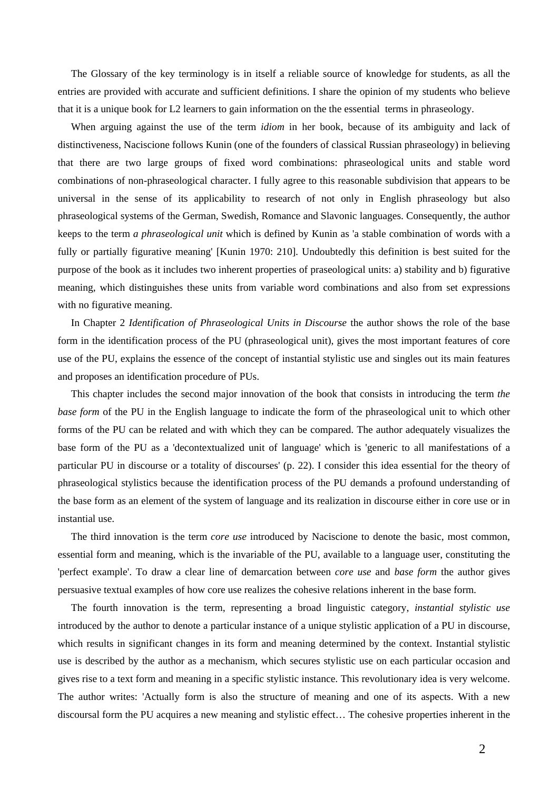The Glossary of the key terminology is in itself a reliable source of knowledge for students, as all the entries are provided with accurate and sufficient definitions. I share the opinion of my students who believe that it is a unique book for L2 learners to gain information on the the essential terms in phraseology.

When arguing against the use of the term *idiom* in her book, because of its ambiguity and lack of distinctiveness, Naciscione follows Kunin (one of the founders of classical Russian phraseology) in believing that there are two large groups of fixed word combinations: phraseological units and stable word combinations of non-phraseological character. I fully agree to this reasonable subdivision that appears to be universal in the sense of its applicability to research of not only in English phraseology but also phraseological systems of the German, Swedish, Romance and Slavonic languages. Consequently, the author keeps to the term *a phraseological unit* which is defined by Kunin as 'a stable combination of words with a fully or partially figurative meaning' [Kunin 1970: 210]. Undoubtedly this definition is best suited for the purpose of the book as it includes two inherent properties of praseological units: a) stability and b) figurative meaning, which distinguishes these units from variable word combinations and also from set expressions with no figurative meaning.

In Chapter 2 *Identification of Phraseological Units in Discourse* the author shows the role of the base form in the identification process of the PU (phraseological unit), gives the most important features of core use of the PU, explains the essence of the concept of instantial stylistic use and singles out its main features and proposes an identification procedure of PUs.

This chapter includes the second major innovation of the book that consists in introducing the term *the base form* of the PU in the English language to indicate the form of the phraseological unit to which other forms of the PU can be related and with which they can be compared. The author adequately visualizes the base form of the PU as a 'decontextualized unit of language' which is 'generic to all manifestations of a particular PU in discourse or a totality of discourses' (p. 22). I consider this idea essential for the theory of phraseological stylistics because the identification process of the PU demands a profound understanding of the base form as an element of the system of language and its realization in discourse either in core use or in instantial use.

The third innovation is the term *core use* introduced by Naciscione to denote the basic, most common, essential form and meaning, which is the invariable of the PU, available to a language user, constituting the 'perfect example'. To draw a clear line of demarcation between *core use* and *base form* the author gives persuasive textual examples of how core use realizes the cohesive relations inherent in the base form.

The fourth innovation is the term, representing a broad linguistic category, *instantial stylistic use* introduced by the author to denote a particular instance of a unique stylistic application of a PU in discourse, which results in significant changes in its form and meaning determined by the context. Instantial stylistic use is described by the author as a mechanism, which secures stylistic use on each particular occasion and gives rise to a text form and meaning in a specific stylistic instance. This revolutionary idea is very welcome. The author writes: 'Actually form is also the structure of meaning and one of its aspects. With a new discoursal form the PU acquires a new meaning and stylistic effect… The cohesive properties inherent in the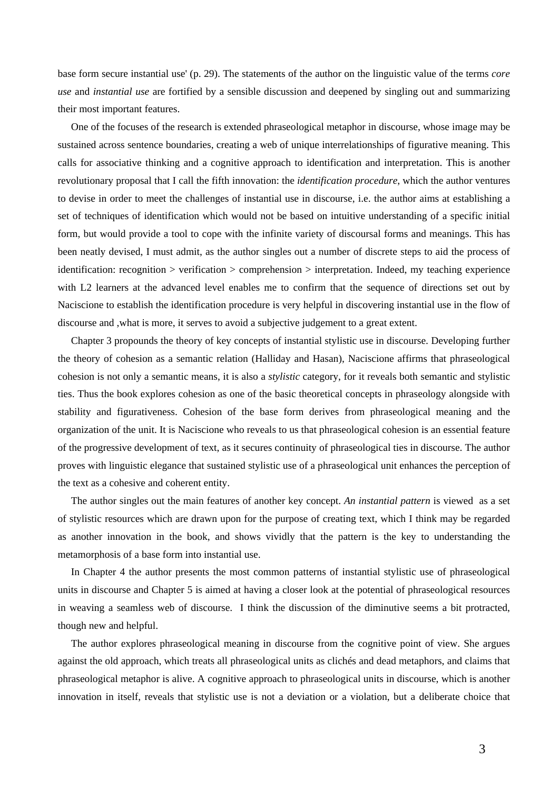base form secure instantial use' (p. 29). The statements of the author on the linguistic value of the terms *core use* and *instantial use* are fortified by a sensible discussion and deepened by singling out and summarizing their most important features.

One of the focuses of the research is extended phraseological metaphor in discourse, whose image may be sustained across sentence boundaries, creating a web of unique interrelationships of figurative meaning. This calls for associative thinking and a cognitive approach to identification and interpretation. This is another revolutionary proposal that I call the fifth innovation: the *identification procedure*, which the author ventures to devise in order to meet the challenges of instantial use in discourse, i.e. the author aims at establishing a set of techniques of identification which would not be based on intuitive understanding of a specific initial form, but would provide a tool to cope with the infinite variety of discoursal forms and meanings. This has been neatly devised, I must admit, as the author singles out a number of discrete steps to aid the process of identification: recognition > verification > comprehension > interpretation. Indeed, my teaching experience with L2 learners at the advanced level enables me to confirm that the sequence of directions set out by Naciscione to establish the identification procedure is very helpful in discovering instantial use in the flow of discourse and ,what is more, it serves to avoid a subjective judgement to a great extent.

Chapter 3 propounds the theory of key concepts of instantial stylistic use in discourse. Developing further the theory of cohesion as a semantic relation (Halliday and Hasan), Naciscione affirms that phraseological cohesion is not only a semantic means, it is also a *stylistic* category, for it reveals both semantic and stylistic ties. Thus the book explores cohesion as one of the basic theoretical concepts in phraseology alongside with stability and figurativeness. Cohesion of the base form derives from phraseological meaning and the organization of the unit. It is Naciscione who reveals to us that phraseological cohesion is an essential feature of the progressive development of text, as it secures continuity of phraseological ties in discourse. The author proves with linguistic elegance that sustained stylistic use of a phraseological unit enhances the perception of the text as a cohesive and coherent entity.

The author singles out the main features of another key concept. *An instantial pattern* is viewed as a set of stylistic resources which are drawn upon for the purpose of creating text, which I think may be regarded as another innovation in the book, and shows vividly that the pattern is the key to understanding the metamorphosis of a base form into instantial use.

In Chapter 4 the author presents the most common patterns of instantial stylistic use of phraseological units in discourse and Chapter 5 is aimed at having a closer look at the potential of phraseological resources in weaving a seamless web of discourse. I think the discussion of the diminutive seems a bit protracted, though new and helpful.

The author explores phraseological meaning in discourse from the cognitive point of view. She argues against the old approach, which treats all phraseological units as clichés and dead metaphors, and claims that phraseological metaphor is alive. A cognitive approach to phraseological units in discourse, which is another innovation in itself, reveals that stylistic use is not a deviation or a violation, but a deliberate choice that